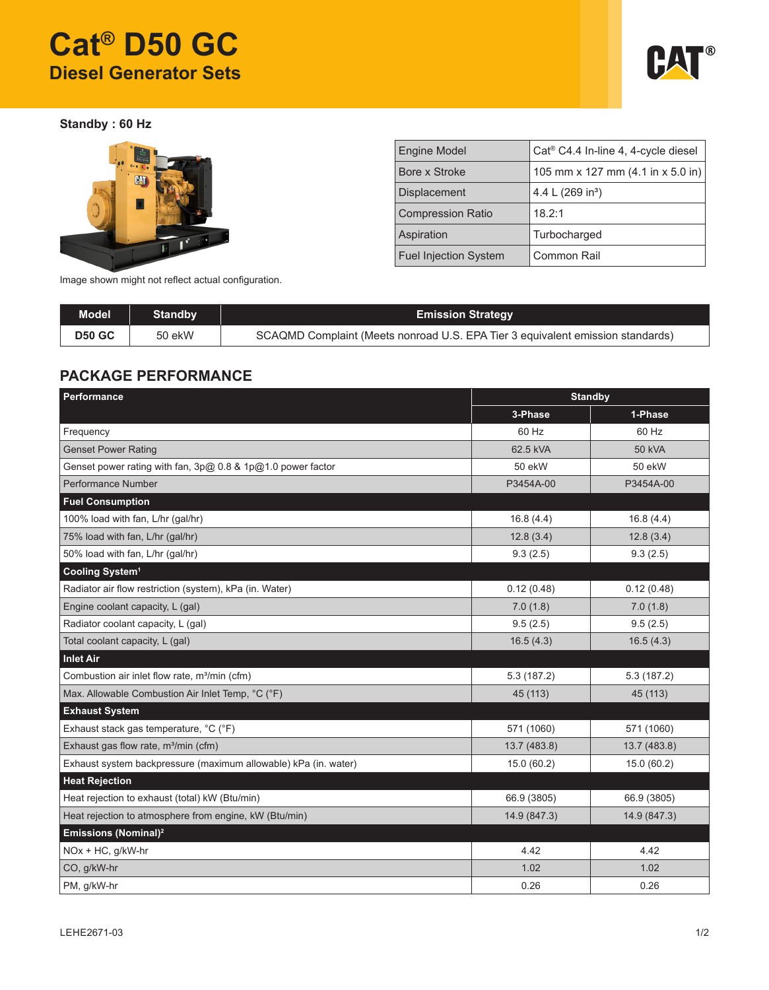# **Cat® D50 GC Diesel Generator Sets**



**Standby : 60 Hz**



| <b>Engine Model</b>          | Cat <sup>®</sup> C4.4 In-line 4, 4-cycle diesel |
|------------------------------|-------------------------------------------------|
| Bore x Stroke                | 105 mm x 127 mm $(4.1$ in x 5.0 in)             |
| <b>Displacement</b>          | 4.4 L $(269 in3)$                               |
| <b>Compression Ratio</b>     | 18.2:1                                          |
| Aspiration                   | Turbocharged                                    |
| <b>Fuel Injection System</b> | Common Rail                                     |

Image shown might not reflect actual configuration.

| <b>Model</b>  | Standby | <b>Emission Strategy</b>                                                       |
|---------------|---------|--------------------------------------------------------------------------------|
| <b>D50 GC</b> | 50 ekW  | SCAQMD Complaint (Meets nonroad U.S. EPA Tier 3 equivalent emission standards) |

## **PACKAGE PERFORMANCE**

| Performance                                                     | <b>Standby</b> |               |  |
|-----------------------------------------------------------------|----------------|---------------|--|
|                                                                 | 3-Phase        | 1-Phase       |  |
| Frequency                                                       | 60 Hz          | 60 Hz         |  |
| <b>Genset Power Rating</b>                                      | 62.5 kVA       | <b>50 kVA</b> |  |
| Genset power rating with fan, $3p@0.8$ & $1p@1.0$ power factor  | 50 ekW         | 50 ekW        |  |
| Performance Number                                              | P3454A-00      | P3454A-00     |  |
| <b>Fuel Consumption</b>                                         |                |               |  |
| 100% load with fan, L/hr (gal/hr)                               | 16.8(4.4)      | 16.8(4.4)     |  |
| 75% load with fan, L/hr (gal/hr)                                | 12.8(3.4)      | 12.8(3.4)     |  |
| 50% load with fan, L/hr (gal/hr)                                | 9.3(2.5)       | 9.3(2.5)      |  |
| Cooling System <sup>1</sup>                                     |                |               |  |
| Radiator air flow restriction (system), kPa (in. Water)         | 0.12(0.48)     | 0.12(0.48)    |  |
| Engine coolant capacity, L (gal)                                | 7.0(1.8)       | 7.0(1.8)      |  |
| Radiator coolant capacity, L (gal)                              | 9.5(2.5)       | 9.5(2.5)      |  |
| Total coolant capacity, L (gal)                                 | 16.5(4.3)      | 16.5(4.3)     |  |
| <b>Inlet Air</b>                                                |                |               |  |
| Combustion air inlet flow rate, m <sup>3</sup> /min (cfm)       | 5.3(187.2)     | 5.3 (187.2)   |  |
| Max. Allowable Combustion Air Inlet Temp, °C (°F)               | 45 (113)       | 45 (113)      |  |
| <b>Exhaust System</b>                                           |                |               |  |
| Exhaust stack gas temperature, °C (°F)                          | 571 (1060)     | 571 (1060)    |  |
| Exhaust gas flow rate, m <sup>3</sup> /min (cfm)                | 13.7 (483.8)   | 13.7 (483.8)  |  |
| Exhaust system backpressure (maximum allowable) kPa (in. water) | 15.0 (60.2)    | 15.0 (60.2)   |  |
| <b>Heat Rejection</b>                                           |                |               |  |
| Heat rejection to exhaust (total) kW (Btu/min)                  | 66.9 (3805)    | 66.9 (3805)   |  |
| Heat rejection to atmosphere from engine, kW (Btu/min)          | 14.9 (847.3)   | 14.9 (847.3)  |  |
| Emissions (Nominal) <sup>2</sup>                                |                |               |  |
| $NOx + HC$ , g/kW-hr                                            | 4.42           | 4.42          |  |
| CO, g/kW-hr                                                     | 1.02           | 1.02          |  |
| PM, g/kW-hr                                                     | 0.26           | 0.26          |  |